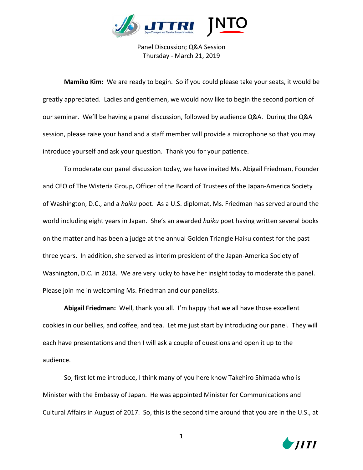

Panel Discussion; Q&A Session Thursday - March 21, 2019

**Mamiko Kim:** We are ready to begin. So if you could please take your seats, it would be greatly appreciated. Ladies and gentlemen, we would now like to begin the second portion of our seminar. We'll be having a panel discussion, followed by audience Q&A. During the Q&A session, please raise your hand and a staff member will provide a microphone so that you may introduce yourself and ask your question. Thank you for your patience.

To moderate our panel discussion today, we have invited Ms. Abigail Friedman, Founder and CEO of The Wisteria Group, Officer of the Board of Trustees of the Japan-America Society of Washington, D.C., and a *haiku* poet. As a U.S. diplomat, Ms. Friedman has served around the world including eight years in Japan. She's an awarded *haiku* poet having written several books on the matter and has been a judge at the annual Golden Triangle Haiku contest for the past three years. In addition, she served as interim president of the Japan-America Society of Washington, D.C. in 2018. We are very lucky to have her insight today to moderate this panel. Please join me in welcoming Ms. Friedman and our panelists.

**Abigail Friedman:** Well, thank you all. I'm happy that we all have those excellent cookies in our bellies, and coffee, and tea. Let me just start by introducing our panel. They will each have presentations and then I will ask a couple of questions and open it up to the audience.

So, first let me introduce, I think many of you here know Takehiro Shimada who is Minister with the Embassy of Japan. He was appointed Minister for Communications and Cultural Affairs in August of 2017. So, this is the second time around that you are in the U.S., at

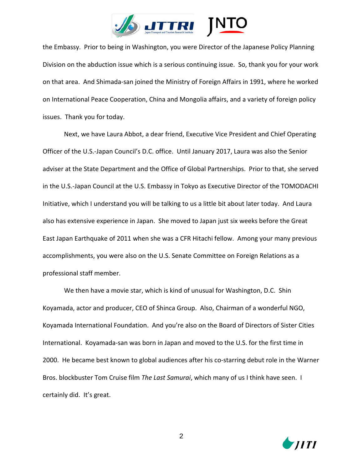

the Embassy. Prior to being in Washington, you were Director of the Japanese Policy Planning Division on the abduction issue which is a serious continuing issue. So, thank you for your work on that area. And Shimada-san joined the Ministry of Foreign Affairs in 1991, where he worked on International Peace Cooperation, China and Mongolia affairs, and a variety of foreign policy issues. Thank you for today.

Next, we have Laura Abbot, a dear friend, Executive Vice President and Chief Operating Officer of the U.S.-Japan Council's D.C. office. Until January 2017, Laura was also the Senior adviser at the State Department and the Office of Global Partnerships. Prior to that, she served in the U.S.-Japan Council at the U.S. Embassy in Tokyo as Executive Director of the TOMODACHI Initiative, which I understand you will be talking to us a little bit about later today. And Laura also has extensive experience in Japan. She moved to Japan just six weeks before the Great East Japan Earthquake of 2011 when she was a CFR Hitachi fellow. Among your many previous accomplishments, you were also on the U.S. Senate Committee on Foreign Relations as a professional staff member.

We then have a movie star, which is kind of unusual for Washington, D.C. Shin Koyamada, actor and producer, CEO of Shinca Group. Also, Chairman of a wonderful NGO, Koyamada International Foundation. And you're also on the Board of Directors of Sister Cities International. Koyamada-san was born in Japan and moved to the U.S. for the first time in 2000. He became best known to global audiences after his co-starring debut role in the Warner Bros. blockbuster Tom Cruise film *The Last Samurai*, which many of us I think have seen. I certainly did. It's great.

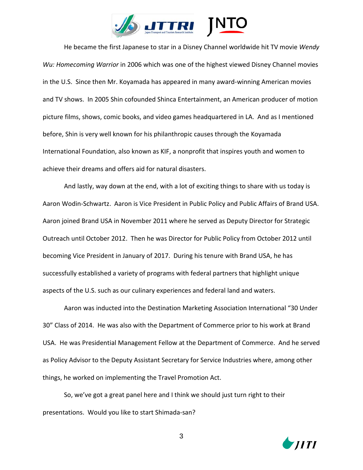

He became the first Japanese to star in a Disney Channel worldwide hit TV movie *Wendy Wu: Homecoming Warrior* in 2006 which was one of the highest viewed Disney Channel movies in the U.S. Since then Mr. Koyamada has appeared in many award-winning American movies and TV shows. In 2005 Shin cofounded Shinca Entertainment, an American producer of motion picture films, shows, comic books, and video games headquartered in LA. And as I mentioned before, Shin is very well known for his philanthropic causes through the Koyamada International Foundation, also known as KIF, a nonprofit that inspires youth and women to achieve their dreams and offers aid for natural disasters.

And lastly, way down at the end, with a lot of exciting things to share with us today is Aaron Wodin-Schwartz. Aaron is Vice President in Public Policy and Public Affairs of Brand USA. Aaron joined Brand USA in November 2011 where he served as Deputy Director for Strategic Outreach until October 2012. Then he was Director for Public Policy from October 2012 until becoming Vice President in January of 2017. During his tenure with Brand USA, he has successfully established a variety of programs with federal partners that highlight unique aspects of the U.S. such as our culinary experiences and federal land and waters.

Aaron was inducted into the Destination Marketing Association International "30 Under 30" Class of 2014. He was also with the Department of Commerce prior to his work at Brand USA. He was Presidential Management Fellow at the Department of Commerce. And he served as Policy Advisor to the Deputy Assistant Secretary for Service Industries where, among other things, he worked on implementing the Travel Promotion Act.

So, we've got a great panel here and I think we should just turn right to their presentations. Would you like to start Shimada-san?

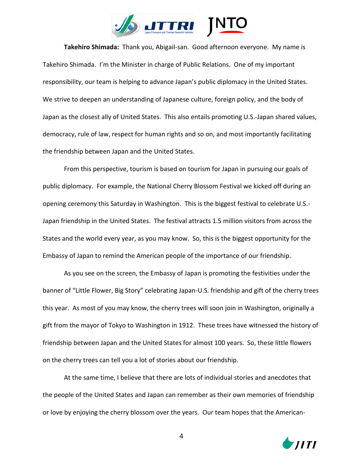

**Takehiro Shimada:** Thank you, Abigail-san. Good afternoon everyone. My name is Takehiro Shimada. I'm the Minister in charge of Public Relations. One of my important responsibility, our team is helping to advance Japan's public diplomacy in the United States. We strive to deepen an understanding of Japanese culture, foreign policy, and the body of Japan as the closest ally of United States. This also entails promoting U.S.-Japan shared values, democracy, rule of law, respect for human rights and so on, and most importantly facilitating the friendship between Japan and the United States.

From this perspective, tourism is based on tourism for Japan in pursuing our goals of public diplomacy. For example, the National Cherry Blossom Festival we kicked off during an opening ceremony this Saturday in Washington. This is the biggest festival to celebrate U.S.- Japan friendship in the United States. The festival attracts 1.5 million visitors from across the States and the world every year, as you may know. So, this is the biggest opportunity for the Embassy of Japan to remind the American people of the importance of our friendship.

As you see on the screen, the Embassy of Japan is promoting the festivities under the banner of "Little Flower, Big Story" celebrating Japan-U.S. friendship and gift of the cherry trees this year. As most of you may know, the cherry trees will soon join in Washington, originally a gift from the mayor of Tokyo to Washington in 1912. These trees have witnessed the history of friendship between Japan and the United States for almost 100 years. So, these little flowers on the cherry trees can tell you a lot of stories about our friendship.

At the same time, I believe that there are lots of individual stories and anecdotes that the people of the United States and Japan can remember as their own memories of friendship or love by enjoying the cherry blossom over the years. Our team hopes that the American-

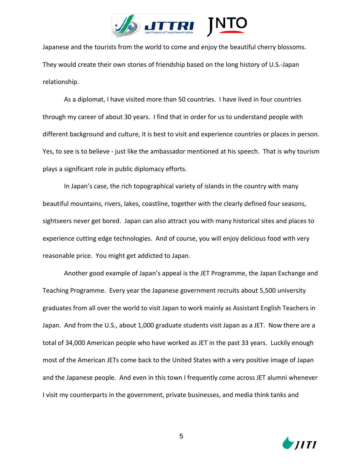

Japanese and the tourists from the world to come and enjoy the beautiful cherry blossoms. They would create their own stories of friendship based on the long history of U.S.-Japan relationship.

As a diplomat, I have visited more than 50 countries. I have lived in four countries through my career of about 30 years. I find that in order for us to understand people with different background and culture, it is best to visit and experience countries or places in person. Yes, to see is to believe - just like the ambassador mentioned at his speech. That is why tourism plays a significant role in public diplomacy efforts.

In Japan's case, the rich topographical variety of islands in the country with many beautiful mountains, rivers, lakes, coastline, together with the clearly defined four seasons, sightseers never get bored. Japan can also attract you with many historical sites and places to experience cutting edge technologies. And of course, you will enjoy delicious food with very reasonable price. You might get addicted to Japan.

Another good example of Japan's appeal is the JET Programme, the Japan Exchange and Teaching Programme. Every year the Japanese government recruits about 5,500 university graduates from all over the world to visit Japan to work mainly as Assistant English Teachers in Japan. And from the U.S., about 1,000 graduate students visit Japan as a JET. Now there are a total of 34,000 American people who have worked as JET in the past 33 years. Luckily enough most of the American JETs come back to the United States with a very positive image of Japan and the Japanese people. And even in this town I frequently come across JET alumni whenever I visit my counterparts in the government, private businesses, and media think tanks and

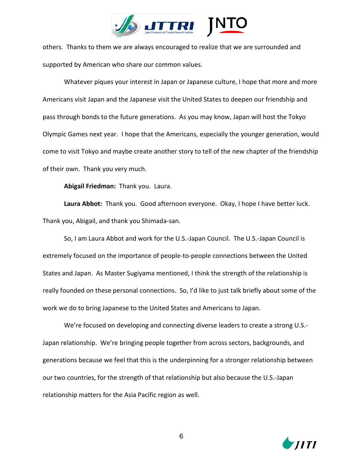

others. Thanks to them we are always encouraged to realize that we are surrounded and supported by American who share our common values.

Whatever piques your interest in Japan or Japanese culture, I hope that more and more Americans visit Japan and the Japanese visit the United States to deepen our friendship and pass through bonds to the future generations. As you may know, Japan will host the Tokyo Olympic Games next year. I hope that the Americans, especially the younger generation, would come to visit Tokyo and maybe create another story to tell of the new chapter of the friendship of their own. Thank you very much.

**Abigail Friedman:** Thank you. Laura.

**Laura Abbot:** Thank you. Good afternoon everyone. Okay, I hope I have better luck. Thank you, Abigail, and thank you Shimada-san.

So, I am Laura Abbot and work for the U.S.-Japan Council. The U.S.-Japan Council is extremely focused on the importance of people-to-people connections between the United States and Japan. As Master Sugiyama mentioned, I think the strength of the relationship is really founded on these personal connections. So, I'd like to just talk briefly about some of the work we do to bring Japanese to the United States and Americans to Japan.

We're focused on developing and connecting diverse leaders to create a strong U.S.- Japan relationship. We're bringing people together from across sectors, backgrounds, and generations because we feel that this is the underpinning for a stronger relationship between our two countries, for the strength of that relationship but also because the U.S.-Japan relationship matters for the Asia Pacific region as well.

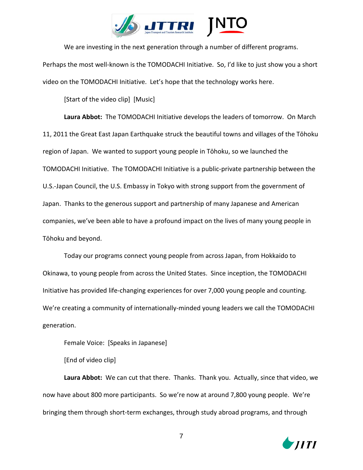

We are investing in the next generation through a number of different programs.

Perhaps the most well-known is the TOMODACHI Initiative. So, I'd like to just show you a short video on the TOMODACHI Initiative. Let's hope that the technology works here.

[Start of the video clip] [Music]

**Laura Abbot:** The TOMODACHI Initiative develops the leaders of tomorrow. On March 11, 2011 the Great East Japan Earthquake struck the beautiful towns and villages of the Tōhoku region of Japan. We wanted to support young people in Tōhoku, so we launched the TOMODACHI Initiative. The TOMODACHI Initiative is a public-private partnership between the U.S.-Japan Council, the U.S. Embassy in Tokyo with strong support from the government of Japan. Thanks to the generous support and partnership of many Japanese and American companies, we've been able to have a profound impact on the lives of many young people in Tōhoku and beyond.

Today our programs connect young people from across Japan, from Hokkaido to Okinawa, to young people from across the United States. Since inception, the TOMODACHI Initiative has provided life-changing experiences for over 7,000 young people and counting. We're creating a community of internationally-minded young leaders we call the TOMODACHI generation.

Female Voice: [Speaks in Japanese]

[End of video clip]

**Laura Abbot:** We can cut that there. Thanks. Thank you. Actually, since that video, we now have about 800 more participants. So we're now at around 7,800 young people. We're bringing them through short-term exchanges, through study abroad programs, and through

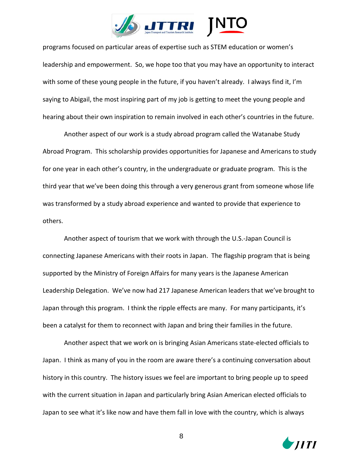

programs focused on particular areas of expertise such as STEM education or women's leadership and empowerment. So, we hope too that you may have an opportunity to interact with some of these young people in the future, if you haven't already. I always find it, I'm saying to Abigail, the most inspiring part of my job is getting to meet the young people and hearing about their own inspiration to remain involved in each other's countries in the future.

Another aspect of our work is a study abroad program called the Watanabe Study Abroad Program. This scholarship provides opportunities for Japanese and Americans to study for one year in each other's country, in the undergraduate or graduate program. This is the third year that we've been doing this through a very generous grant from someone whose life was transformed by a study abroad experience and wanted to provide that experience to others.

Another aspect of tourism that we work with through the U.S.-Japan Council is connecting Japanese Americans with their roots in Japan. The flagship program that is being supported by the Ministry of Foreign Affairs for many years is the Japanese American Leadership Delegation. We've now had 217 Japanese American leaders that we've brought to Japan through this program. I think the ripple effects are many. For many participants, it's been a catalyst for them to reconnect with Japan and bring their families in the future.

Another aspect that we work on is bringing Asian Americans state-elected officials to Japan. I think as many of you in the room are aware there's a continuing conversation about history in this country. The history issues we feel are important to bring people up to speed with the current situation in Japan and particularly bring Asian American elected officials to Japan to see what it's like now and have them fall in love with the country, which is always

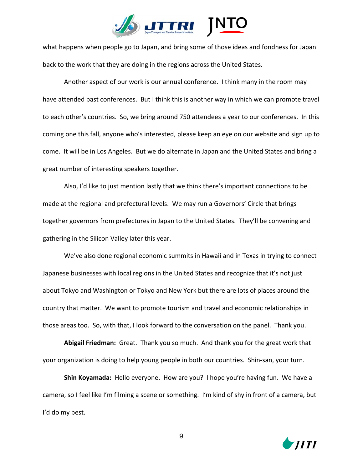

what happens when people go to Japan, and bring some of those ideas and fondness for Japan back to the work that they are doing in the regions across the United States.

Another aspect of our work is our annual conference. I think many in the room may have attended past conferences. But I think this is another way in which we can promote travel to each other's countries. So, we bring around 750 attendees a year to our conferences. In this coming one this fall, anyone who's interested, please keep an eye on our website and sign up to come. It will be in Los Angeles. But we do alternate in Japan and the United States and bring a great number of interesting speakers together.

Also, I'd like to just mention lastly that we think there's important connections to be made at the regional and prefectural levels. We may run a Governors' Circle that brings together governors from prefectures in Japan to the United States. They'll be convening and gathering in the Silicon Valley later this year.

We've also done regional economic summits in Hawaii and in Texas in trying to connect Japanese businesses with local regions in the United States and recognize that it's not just about Tokyo and Washington or Tokyo and New York but there are lots of places around the country that matter. We want to promote tourism and travel and economic relationships in those areas too. So, with that, I look forward to the conversation on the panel. Thank you.

**Abigail Friedman:** Great. Thank you so much. And thank you for the great work that your organization is doing to help young people in both our countries. Shin-san, your turn.

**Shin Koyamada:** Hello everyone. How are you? I hope you're having fun. We have a camera, so I feel like I'm filming a scene or something. I'm kind of shy in front of a camera, but I'd do my best.

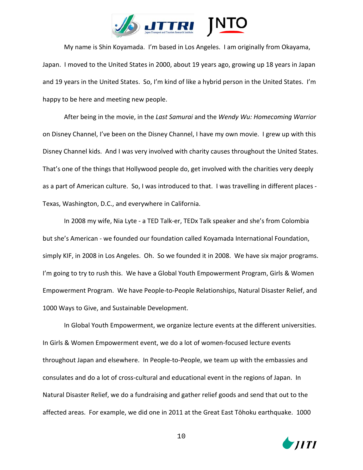

My name is Shin Koyamada. I'm based in Los Angeles. I am originally from Okayama, Japan. I moved to the United States in 2000, about 19 years ago, growing up 18 years in Japan and 19 years in the United States. So, I'm kind of like a hybrid person in the United States. I'm happy to be here and meeting new people.

After being in the movie, in the *Last Samurai* and the *Wendy Wu: Homecoming Warrior* on Disney Channel, I've been on the Disney Channel, I have my own movie. I grew up with this Disney Channel kids. And I was very involved with charity causes throughout the United States. That's one of the things that Hollywood people do, get involved with the charities very deeply as a part of American culture. So, I was introduced to that. I was travelling in different places - Texas, Washington, D.C., and everywhere in California.

In 2008 my wife, Nia Lyte - a TED Talk-er, TEDx Talk speaker and she's from Colombia but she's American - we founded our foundation called Koyamada International Foundation, simply KIF, in 2008 in Los Angeles. Oh. So we founded it in 2008. We have six major programs. I'm going to try to rush this. We have a Global Youth Empowerment Program, Girls & Women Empowerment Program. We have People-to-People Relationships, Natural Disaster Relief, and 1000 Ways to Give, and Sustainable Development.

In Global Youth Empowerment, we organize lecture events at the different universities. In Girls & Women Empowerment event, we do a lot of women-focused lecture events throughout Japan and elsewhere. In People-to-People, we team up with the embassies and consulates and do a lot of cross-cultural and educational event in the regions of Japan. In Natural Disaster Relief, we do a fundraising and gather relief goods and send that out to the affected areas. For example, we did one in 2011 at the Great East Tōhoku earthquake. 1000

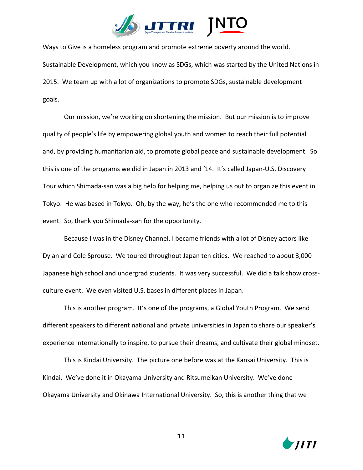

Ways to Give is a homeless program and promote extreme poverty around the world. Sustainable Development, which you know as SDGs, which was started by the United Nations in 2015. We team up with a lot of organizations to promote SDGs, sustainable development goals.

Our mission, we're working on shortening the mission. But our mission is to improve quality of people's life by empowering global youth and women to reach their full potential and, by providing humanitarian aid, to promote global peace and sustainable development. So this is one of the programs we did in Japan in 2013 and '14. It's called Japan-U.S. Discovery Tour which Shimada-san was a big help for helping me, helping us out to organize this event in Tokyo. He was based in Tokyo. Oh, by the way, he's the one who recommended me to this event. So, thank you Shimada-san for the opportunity.

Because I was in the Disney Channel, I became friends with a lot of Disney actors like Dylan and Cole Sprouse. We toured throughout Japan ten cities. We reached to about 3,000 Japanese high school and undergrad students. It was very successful. We did a talk show crossculture event. We even visited U.S. bases in different places in Japan.

This is another program. It's one of the programs, a Global Youth Program. We send different speakers to different national and private universities in Japan to share our speaker's experience internationally to inspire, to pursue their dreams, and cultivate their global mindset.

This is Kindai University. The picture one before was at the Kansai University. This is Kindai. We've done it in Okayama University and Ritsumeikan University. We've done Okayama University and Okinawa International University. So, this is another thing that we

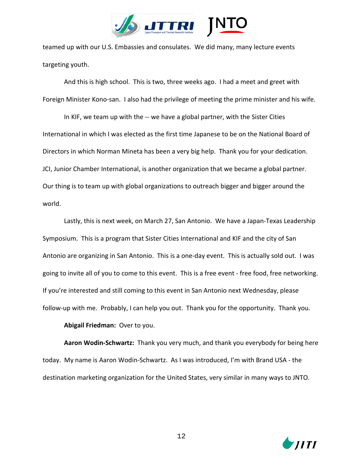

teamed up with our U.S. Embassies and consulates. We did many, many lecture events targeting youth.

And this is high school. This is two, three weeks ago. I had a meet and greet with Foreign Minister Kono-san. I also had the privilege of meeting the prime minister and his wife.

In KIF, we team up with the -- we have a global partner, with the Sister Cities International in which I was elected as the first time Japanese to be on the National Board of Directors in which Norman Mineta has been a very big help. Thank you for your dedication. JCI, Junior Chamber International, is another organization that we became a global partner. Our thing is to team up with global organizations to outreach bigger and bigger around the world.

Lastly, this is next week, on March 27, San Antonio. We have a Japan-Texas Leadership Symposium. This is a program that Sister Cities International and KIF and the city of San Antonio are organizing in San Antonio. This is a one-day event. This is actually sold out. I was going to invite all of you to come to this event. This is a free event - free food, free networking. If you're interested and still coming to this event in San Antonio next Wednesday, please follow-up with me. Probably, I can help you out. Thank you for the opportunity. Thank you.

## **Abigail Friedman:** Over to you.

**Aaron Wodin-Schwartz:** Thank you very much, and thank you everybody for being here today. My name is Aaron Wodin-Schwartz. As I was introduced, I'm with Brand USA - the destination marketing organization for the United States, very similar in many ways to JNTO.

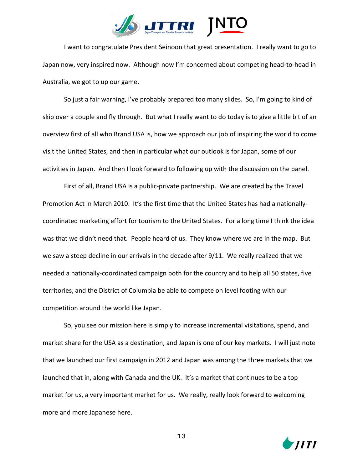

I want to congratulate President Seinoon that great presentation. I really want to go to Japan now, very inspired now. Although now I'm concerned about competing head-to-head in Australia, we got to up our game.

So just a fair warning, I've probably prepared too many slides. So, I'm going to kind of skip over a couple and fly through. But what I really want to do today is to give a little bit of an overview first of all who Brand USA is, how we approach our job of inspiring the world to come visit the United States, and then in particular what our outlook is for Japan, some of our activities in Japan. And then I look forward to following up with the discussion on the panel.

First of all, Brand USA is a public-private partnership. We are created by the Travel Promotion Act in March 2010. It's the first time that the United States has had a nationallycoordinated marketing effort for tourism to the United States. For a long time I think the idea was that we didn't need that. People heard of us. They know where we are in the map. But we saw a steep decline in our arrivals in the decade after 9/11. We really realized that we needed a nationally-coordinated campaign both for the country and to help all 50 states, five territories, and the District of Columbia be able to compete on level footing with our competition around the world like Japan.

So, you see our mission here is simply to increase incremental visitations, spend, and market share for the USA as a destination, and Japan is one of our key markets. I will just note that we launched our first campaign in 2012 and Japan was among the three markets that we launched that in, along with Canada and the UK. It's a market that continues to be a top market for us, a very important market for us. We really, really look forward to welcoming more and more Japanese here.

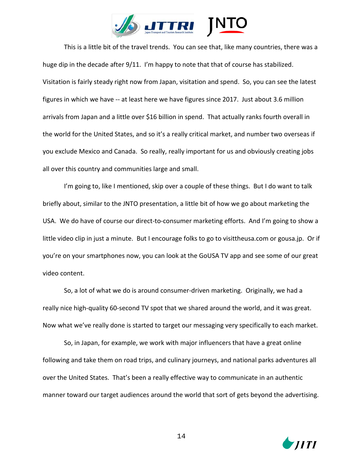

This is a little bit of the travel trends. You can see that, like many countries, there was a huge dip in the decade after 9/11. I'm happy to note that that of course has stabilized. Visitation is fairly steady right now from Japan, visitation and spend. So, you can see the latest figures in which we have -- at least here we have figures since 2017. Just about 3.6 million arrivals from Japan and a little over \$16 billion in spend. That actually ranks fourth overall in the world for the United States, and so it's a really critical market, and number two overseas if you exclude Mexico and Canada. So really, really important for us and obviously creating jobs all over this country and communities large and small.

I'm going to, like I mentioned, skip over a couple of these things. But I do want to talk briefly about, similar to the JNTO presentation, a little bit of how we go about marketing the USA. We do have of course our direct-to-consumer marketing efforts. And I'm going to show a little video clip in just a minute. But I encourage folks to go to visittheusa.com or gousa.jp. Or if you're on your smartphones now, you can look at the GoUSA TV app and see some of our great video content.

So, a lot of what we do is around consumer-driven marketing. Originally, we had a really nice high-quality 60-second TV spot that we shared around the world, and it was great. Now what we've really done is started to target our messaging very specifically to each market.

So, in Japan, for example, we work with major influencers that have a great online following and take them on road trips, and culinary journeys, and national parks adventures all over the United States. That's been a really effective way to communicate in an authentic manner toward our target audiences around the world that sort of gets beyond the advertising.

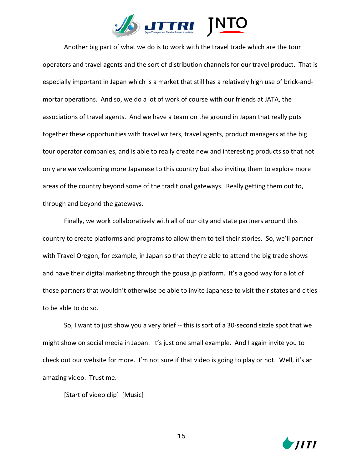

Another big part of what we do is to work with the travel trade which are the tour operators and travel agents and the sort of distribution channels for our travel product. That is especially important in Japan which is a market that still has a relatively high use of brick-andmortar operations. And so, we do a lot of work of course with our friends at JATA, the associations of travel agents. And we have a team on the ground in Japan that really puts together these opportunities with travel writers, travel agents, product managers at the big tour operator companies, and is able to really create new and interesting products so that not only are we welcoming more Japanese to this country but also inviting them to explore more areas of the country beyond some of the traditional gateways. Really getting them out to, through and beyond the gateways.

Finally, we work collaboratively with all of our city and state partners around this country to create platforms and programs to allow them to tell their stories. So, we'll partner with Travel Oregon, for example, in Japan so that they're able to attend the big trade shows and have their digital marketing through the gousa.jp platform. It's a good way for a lot of those partners that wouldn't otherwise be able to invite Japanese to visit their states and cities to be able to do so.

So, I want to just show you a very brief -- this is sort of a 30-second sizzle spot that we might show on social media in Japan. It's just one small example. And I again invite you to check out our website for more. I'm not sure if that video is going to play or not. Well, it's an amazing video. Trust me.

[Start of video clip] [Music]

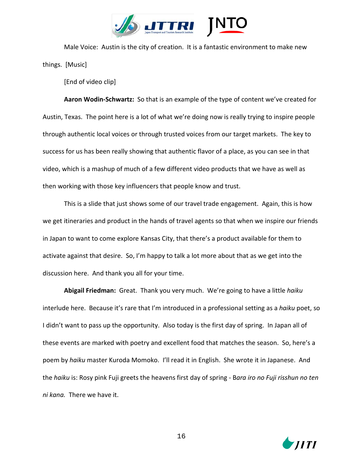

Male Voice: Austin is the city of creation. It is a fantastic environment to make new things. [Music]

[End of video clip]

**Aaron Wodin-Schwartz:** So that is an example of the type of content we've created for Austin, Texas. The point here is a lot of what we're doing now is really trying to inspire people through authentic local voices or through trusted voices from our target markets. The key to success for us has been really showing that authentic flavor of a place, as you can see in that video, which is a mashup of much of a few different video products that we have as well as then working with those key influencers that people know and trust.

This is a slide that just shows some of our travel trade engagement. Again, this is how we get itineraries and product in the hands of travel agents so that when we inspire our friends in Japan to want to come explore Kansas City, that there's a product available for them to activate against that desire. So, I'm happy to talk a lot more about that as we get into the discussion here. And thank you all for your time.

**Abigail Friedman:** Great. Thank you very much. We're going to have a little *haiku* interlude here. Because it's rare that I'm introduced in a professional setting as a *haiku* poet, so I didn't want to pass up the opportunity. Also today is the first day of spring. In Japan all of these events are marked with poetry and excellent food that matches the season. So, here's a poem by *haiku* master Kuroda Momoko. I'll read it in English. She wrote it in Japanese. And the *haiku* is: Rosy pink Fuji greets the heavens first day of spring - B*ara iro no Fuji risshun no ten ni kana.* There we have it.

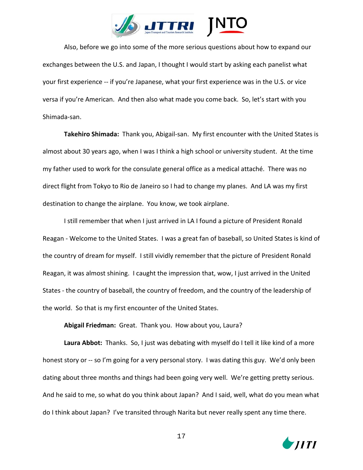

Also, before we go into some of the more serious questions about how to expand our exchanges between the U.S. and Japan, I thought I would start by asking each panelist what your first experience -- if you're Japanese, what your first experience was in the U.S. or vice versa if you're American. And then also what made you come back. So, let's start with you Shimada-san.

**Takehiro Shimada:** Thank you, Abigail-san. My first encounter with the United States is almost about 30 years ago, when I was I think a high school or university student. At the time my father used to work for the consulate general office as a medical attaché. There was no direct flight from Tokyo to Rio de Janeiro so I had to change my planes. And LA was my first destination to change the airplane. You know, we took airplane.

I still remember that when I just arrived in LA I found a picture of President Ronald Reagan - Welcome to the United States. I was a great fan of baseball, so United States is kind of the country of dream for myself. I still vividly remember that the picture of President Ronald Reagan, it was almost shining. I caught the impression that, wow, I just arrived in the United States - the country of baseball, the country of freedom, and the country of the leadership of the world. So that is my first encounter of the United States.

**Abigail Friedman:** Great. Thank you. How about you, Laura?

**Laura Abbot:** Thanks. So, I just was debating with myself do I tell it like kind of a more honest story or -- so I'm going for a very personal story. I was dating this guy. We'd only been dating about three months and things had been going very well. We're getting pretty serious. And he said to me, so what do you think about Japan? And I said, well, what do you mean what do I think about Japan? I've transited through Narita but never really spent any time there.

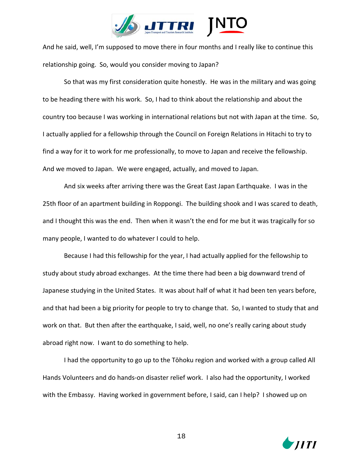

And he said, well, I'm supposed to move there in four months and I really like to continue this relationship going. So, would you consider moving to Japan?

So that was my first consideration quite honestly. He was in the military and was going to be heading there with his work. So, I had to think about the relationship and about the country too because I was working in international relations but not with Japan at the time. So, I actually applied for a fellowship through the Council on Foreign Relations in Hitachi to try to find a way for it to work for me professionally, to move to Japan and receive the fellowship. And we moved to Japan. We were engaged, actually, and moved to Japan.

And six weeks after arriving there was the Great East Japan Earthquake. I was in the 25th floor of an apartment building in Roppongi. The building shook and I was scared to death, and I thought this was the end. Then when it wasn't the end for me but it was tragically for so many people, I wanted to do whatever I could to help.

Because I had this fellowship for the year, I had actually applied for the fellowship to study about study abroad exchanges. At the time there had been a big downward trend of Japanese studying in the United States. It was about half of what it had been ten years before, and that had been a big priority for people to try to change that. So, I wanted to study that and work on that. But then after the earthquake, I said, well, no one's really caring about study abroad right now. I want to do something to help.

I had the opportunity to go up to the Tōhoku region and worked with a group called All Hands Volunteers and do hands-on disaster relief work. I also had the opportunity, I worked with the Embassy. Having worked in government before, I said, can I help? I showed up on

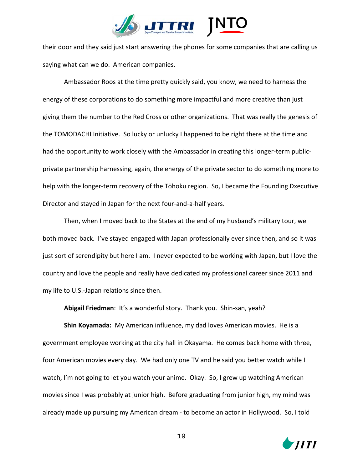

their door and they said just start answering the phones for some companies that are calling us saying what can we do. American companies.

Ambassador Roos at the time pretty quickly said, you know, we need to harness the energy of these corporations to do something more impactful and more creative than just giving them the number to the Red Cross or other organizations. That was really the genesis of the TOMODACHI Initiative. So lucky or unlucky I happened to be right there at the time and had the opportunity to work closely with the Ambassador in creating this longer-term publicprivate partnership harnessing, again, the energy of the private sector to do something more to help with the longer-term recovery of the Tōhoku region. So, I became the Founding Dxecutive Director and stayed in Japan for the next four-and-a-half years.

Then, when I moved back to the States at the end of my husband's military tour, we both moved back. I've stayed engaged with Japan professionally ever since then, and so it was just sort of serendipity but here I am. I never expected to be working with Japan, but I love the country and love the people and really have dedicated my professional career since 2011 and my life to U.S.-Japan relations since then.

**Abigail Friedman**: It's a wonderful story. Thank you. Shin-san, yeah?

**Shin Koyamada:** My American influence, my dad loves American movies. He is a government employee working at the city hall in Okayama. He comes back home with three, four American movies every day. We had only one TV and he said you better watch while I watch, I'm not going to let you watch your anime. Okay. So, I grew up watching American movies since I was probably at junior high. Before graduating from junior high, my mind was already made up pursuing my American dream - to become an actor in Hollywood. So, I told

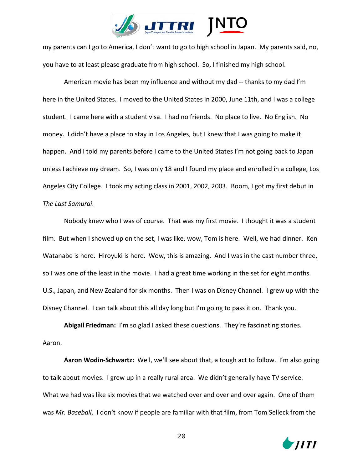

my parents can I go to America, I don't want to go to high school in Japan. My parents said, no, you have to at least please graduate from high school. So, I finished my high school.

American movie has been my influence and without my dad -- thanks to my dad I'm here in the United States. I moved to the United States in 2000, June 11th, and I was a college student. I came here with a student visa. I had no friends. No place to live. No English. No money. I didn't have a place to stay in Los Angeles, but I knew that I was going to make it happen. And I told my parents before I came to the United States I'm not going back to Japan unless I achieve my dream. So, I was only 18 and I found my place and enrolled in a college, Los Angeles City College. I took my acting class in 2001, 2002, 2003. Boom, I got my first debut in *The Last Samurai*.

Nobody knew who I was of course. That was my first movie. I thought it was a student film. But when I showed up on the set, I was like, wow, Tom is here. Well, we had dinner. Ken Watanabe is here. Hiroyuki is here. Wow, this is amazing. And I was in the cast number three, so I was one of the least in the movie. I had a great time working in the set for eight months. U.S., Japan, and New Zealand for six months. Then I was on Disney Channel. I grew up with the Disney Channel. I can talk about this all day long but I'm going to pass it on. Thank you.

**Abigail Friedman:** I'm so glad I asked these questions. They're fascinating stories. Aaron.

**Aaron Wodin-Schwartz:** Well, we'll see about that, a tough act to follow. I'm also going to talk about movies. I grew up in a really rural area. We didn't generally have TV service. What we had was like six movies that we watched over and over and over again. One of them was *Mr. Baseball*. I don't know if people are familiar with that film, from Tom Selleck from the

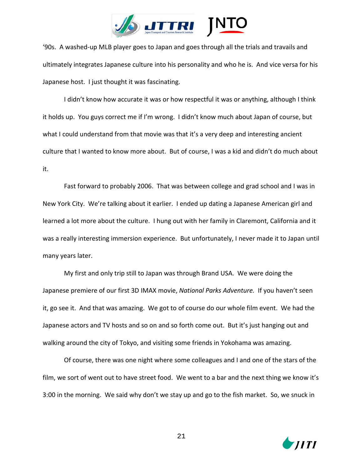

'90s. A washed-up MLB player goes to Japan and goes through all the trials and travails and ultimately integrates Japanese culture into his personality and who he is. And vice versa for his Japanese host. I just thought it was fascinating.

I didn't know how accurate it was or how respectful it was or anything, although I think it holds up. You guys correct me if I'm wrong. I didn't know much about Japan of course, but what I could understand from that movie was that it's a very deep and interesting ancient culture that I wanted to know more about. But of course, I was a kid and didn't do much about it.

Fast forward to probably 2006. That was between college and grad school and I was in New York City. We're talking about it earlier. I ended up dating a Japanese American girl and learned a lot more about the culture. I hung out with her family in Claremont, California and it was a really interesting immersion experience. But unfortunately, I never made it to Japan until many years later.

My first and only trip still to Japan was through Brand USA. We were doing the Japanese premiere of our first 3D IMAX movie, *National Parks Adventure.* If you haven't seen it, go see it. And that was amazing. We got to of course do our whole film event. We had the Japanese actors and TV hosts and so on and so forth come out. But it's just hanging out and walking around the city of Tokyo, and visiting some friends in Yokohama was amazing.

Of course, there was one night where some colleagues and I and one of the stars of the film, we sort of went out to have street food. We went to a bar and the next thing we know it's 3:00 in the morning. We said why don't we stay up and go to the fish market. So, we snuck in

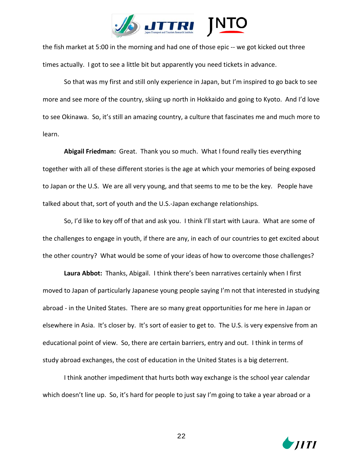

the fish market at 5:00 in the morning and had one of those epic -- we got kicked out three times actually. I got to see a little bit but apparently you need tickets in advance.

So that was my first and still only experience in Japan, but I'm inspired to go back to see more and see more of the country, skiing up north in Hokkaido and going to Kyoto. And I'd love to see Okinawa. So, it's still an amazing country, a culture that fascinates me and much more to learn.

**Abigail Friedman:** Great. Thank you so much. What I found really ties everything together with all of these different stories is the age at which your memories of being exposed to Japan or the U.S. We are all very young, and that seems to me to be the key. People have talked about that, sort of youth and the U.S.-Japan exchange relationships.

So, I'd like to key off of that and ask you. I think I'll start with Laura. What are some of the challenges to engage in youth, if there are any, in each of our countries to get excited about the other country? What would be some of your ideas of how to overcome those challenges?

**Laura Abbot:** Thanks, Abigail. I think there's been narratives certainly when I first moved to Japan of particularly Japanese young people saying I'm not that interested in studying abroad - in the United States. There are so many great opportunities for me here in Japan or elsewhere in Asia. It's closer by. It's sort of easier to get to. The U.S. is very expensive from an educational point of view. So, there are certain barriers, entry and out. I think in terms of study abroad exchanges, the cost of education in the United States is a big deterrent.

I think another impediment that hurts both way exchange is the school year calendar which doesn't line up. So, it's hard for people to just say I'm going to take a year abroad or a

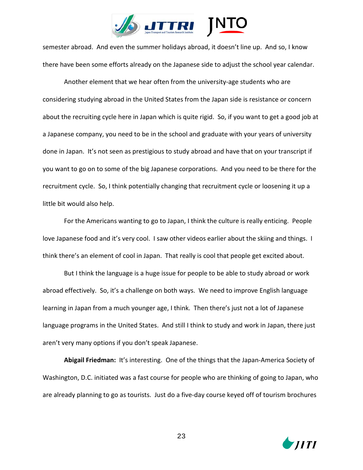

semester abroad. And even the summer holidays abroad, it doesn't line up. And so, I know there have been some efforts already on the Japanese side to adjust the school year calendar.

Another element that we hear often from the university-age students who are considering studying abroad in the United States from the Japan side is resistance or concern about the recruiting cycle here in Japan which is quite rigid. So, if you want to get a good job at a Japanese company, you need to be in the school and graduate with your years of university done in Japan. It's not seen as prestigious to study abroad and have that on your transcript if you want to go on to some of the big Japanese corporations. And you need to be there for the recruitment cycle. So, I think potentially changing that recruitment cycle or loosening it up a little bit would also help.

For the Americans wanting to go to Japan, I think the culture is really enticing. People love Japanese food and it's very cool. I saw other videos earlier about the skiing and things. I think there's an element of cool in Japan. That really is cool that people get excited about.

But I think the language is a huge issue for people to be able to study abroad or work abroad effectively. So, it's a challenge on both ways. We need to improve English language learning in Japan from a much younger age, I think. Then there's just not a lot of Japanese language programs in the United States. And still I think to study and work in Japan, there just aren't very many options if you don't speak Japanese.

**Abigail Friedman:** It's interesting. One of the things that the Japan-America Society of Washington, D.C. initiated was a fast course for people who are thinking of going to Japan, who are already planning to go as tourists. Just do a five-day course keyed off of tourism brochures

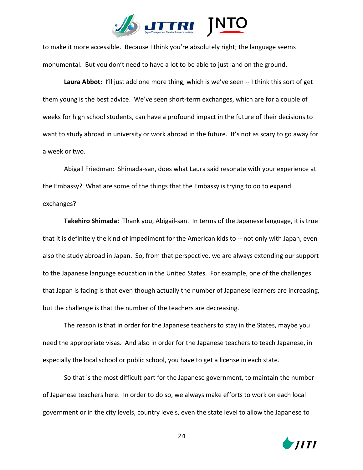

to make it more accessible. Because I think you're absolutely right; the language seems monumental. But you don't need to have a lot to be able to just land on the ground.

Laura Abbot: I'll just add one more thing, which is we've seen -- I think this sort of get them young is the best advice. We've seen short-term exchanges, which are for a couple of weeks for high school students, can have a profound impact in the future of their decisions to want to study abroad in university or work abroad in the future. It's not as scary to go away for a week or two.

Abigail Friedman: Shimada-san, does what Laura said resonate with your experience at the Embassy? What are some of the things that the Embassy is trying to do to expand exchanges?

**Takehiro Shimada:** Thank you, Abigail-san. In terms of the Japanese language, it is true that it is definitely the kind of impediment for the American kids to -- not only with Japan, even also the study abroad in Japan. So, from that perspective, we are always extending our support to the Japanese language education in the United States. For example, one of the challenges that Japan is facing is that even though actually the number of Japanese learners are increasing, but the challenge is that the number of the teachers are decreasing.

The reason is that in order for the Japanese teachers to stay in the States, maybe you need the appropriate visas. And also in order for the Japanese teachers to teach Japanese, in especially the local school or public school, you have to get a license in each state.

So that is the most difficult part for the Japanese government, to maintain the number of Japanese teachers here. In order to do so, we always make efforts to work on each local government or in the city levels, country levels, even the state level to allow the Japanese to

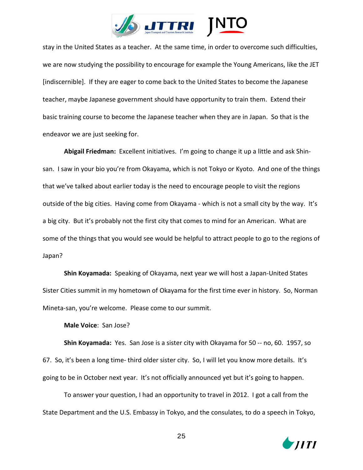

stay in the United States as a teacher. At the same time, in order to overcome such difficulties, we are now studying the possibility to encourage for example the Young Americans, like the JET [indiscernible]. If they are eager to come back to the United States to become the Japanese teacher, maybe Japanese government should have opportunity to train them. Extend their basic training course to become the Japanese teacher when they are in Japan. So that is the endeavor we are just seeking for.

**Abigail Friedman:** Excellent initiatives. I'm going to change it up a little and ask Shinsan. I saw in your bio you're from Okayama, which is not Tokyo or Kyoto. And one of the things that we've talked about earlier today is the need to encourage people to visit the regions outside of the big cities. Having come from Okayama - which is not a small city by the way. It's a big city. But it's probably not the first city that comes to mind for an American. What are some of the things that you would see would be helpful to attract people to go to the regions of Japan?

**Shin Koyamada:** Speaking of Okayama, next year we will host a Japan-United States Sister Cities summit in my hometown of Okayama for the first time ever in history. So, Norman Mineta-san, you're welcome. Please come to our summit.

**Male Voice**: San Jose?

**Shin Koyamada:** Yes. San Jose is a sister city with Okayama for 50 -- no, 60. 1957, so 67. So, it's been a long time- third older sister city. So, I will let you know more details. It's going to be in October next year. It's not officially announced yet but it's going to happen.

To answer your question, I had an opportunity to travel in 2012. I got a call from the State Department and the U.S. Embassy in Tokyo, and the consulates, to do a speech in Tokyo,

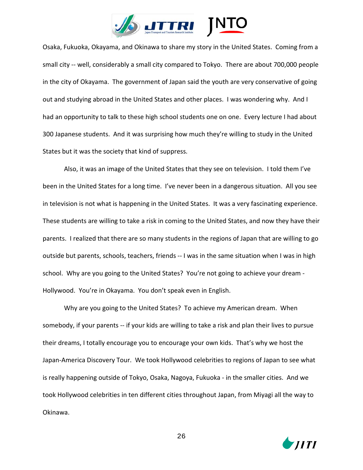

Osaka, Fukuoka, Okayama, and Okinawa to share my story in the United States. Coming from a small city -- well, considerably a small city compared to Tokyo. There are about 700,000 people in the city of Okayama. The government of Japan said the youth are very conservative of going out and studying abroad in the United States and other places. I was wondering why. And I had an opportunity to talk to these high school students one on one. Every lecture I had about 300 Japanese students. And it was surprising how much they're willing to study in the United States but it was the society that kind of suppress.

Also, it was an image of the United States that they see on television. I told them I've been in the United States for a long time. I've never been in a dangerous situation. All you see in television is not what is happening in the United States. It was a very fascinating experience. These students are willing to take a risk in coming to the United States, and now they have their parents. I realized that there are so many students in the regions of Japan that are willing to go outside but parents, schools, teachers, friends -- I was in the same situation when I was in high school. Why are you going to the United States? You're not going to achieve your dream - Hollywood. You're in Okayama. You don't speak even in English.

Why are you going to the United States? To achieve my American dream. When somebody, if your parents -- if your kids are willing to take a risk and plan their lives to pursue their dreams, I totally encourage you to encourage your own kids. That's why we host the Japan-America Discovery Tour. We took Hollywood celebrities to regions of Japan to see what is really happening outside of Tokyo, Osaka, Nagoya, Fukuoka - in the smaller cities. And we took Hollywood celebrities in ten different cities throughout Japan, from Miyagi all the way to Okinawa.

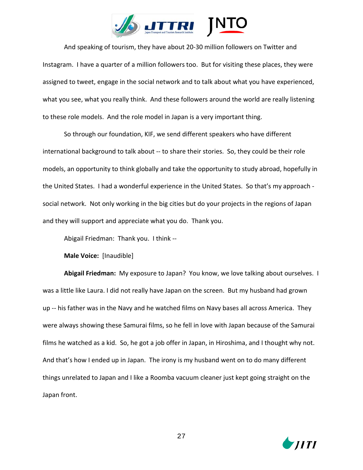

And speaking of tourism, they have about 20-30 million followers on Twitter and Instagram. I have a quarter of a million followers too. But for visiting these places, they were assigned to tweet, engage in the social network and to talk about what you have experienced, what you see, what you really think. And these followers around the world are really listening to these role models. And the role model in Japan is a very important thing.

So through our foundation, KIF, we send different speakers who have different international background to talk about -- to share their stories. So, they could be their role models, an opportunity to think globally and take the opportunity to study abroad, hopefully in the United States. I had a wonderful experience in the United States. So that's my approach social network. Not only working in the big cities but do your projects in the regions of Japan and they will support and appreciate what you do. Thank you.

Abigail Friedman: Thank you. I think --

**Male Voice:** [Inaudible]

**Abigail Friedman:** My exposure to Japan? You know, we love talking about ourselves. I was a little like Laura. I did not really have Japan on the screen. But my husband had grown up -- his father was in the Navy and he watched films on Navy bases all across America. They were always showing these Samurai films, so he fell in love with Japan because of the Samurai films he watched as a kid. So, he got a job offer in Japan, in Hiroshima, and I thought why not. And that's how I ended up in Japan. The irony is my husband went on to do many different things unrelated to Japan and I like a Roomba vacuum cleaner just kept going straight on the Japan front.

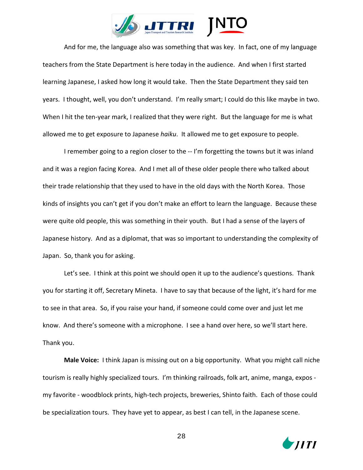

And for me, the language also was something that was key. In fact, one of my language teachers from the State Department is here today in the audience. And when I first started learning Japanese, I asked how long it would take. Then the State Department they said ten years. I thought, well, you don't understand. I'm really smart; I could do this like maybe in two. When I hit the ten-year mark, I realized that they were right. But the language for me is what allowed me to get exposure to Japanese *haiku*. It allowed me to get exposure to people.

I remember going to a region closer to the -- I'm forgetting the towns but it was inland and it was a region facing Korea. And I met all of these older people there who talked about their trade relationship that they used to have in the old days with the North Korea. Those kinds of insights you can't get if you don't make an effort to learn the language. Because these were quite old people, this was something in their youth. But I had a sense of the layers of Japanese history. And as a diplomat, that was so important to understanding the complexity of Japan. So, thank you for asking.

Let's see. I think at this point we should open it up to the audience's questions. Thank you for starting it off, Secretary Mineta. I have to say that because of the light, it's hard for me to see in that area. So, if you raise your hand, if someone could come over and just let me know. And there's someone with a microphone. I see a hand over here, so we'll start here. Thank you.

**Male Voice:** I think Japan is missing out on a big opportunity. What you might call niche tourism is really highly specialized tours. I'm thinking railroads, folk art, anime, manga, expos my favorite - woodblock prints, high-tech projects, breweries, Shinto faith. Each of those could be specialization tours. They have yet to appear, as best I can tell, in the Japanese scene.

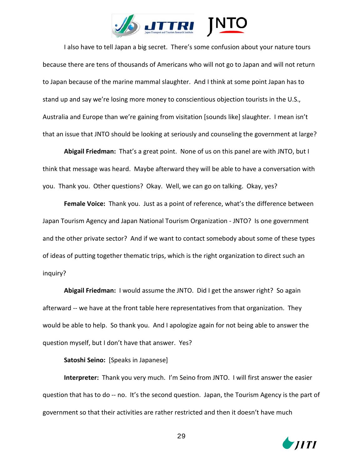

I also have to tell Japan a big secret. There's some confusion about your nature tours because there are tens of thousands of Americans who will not go to Japan and will not return to Japan because of the marine mammal slaughter. And I think at some point Japan has to stand up and say we're losing more money to conscientious objection tourists in the U.S., Australia and Europe than we're gaining from visitation [sounds like] slaughter. I mean isn't that an issue that JNTO should be looking at seriously and counseling the government at large?

**Abigail Friedman:** That's a great point. None of us on this panel are with JNTO, but I think that message was heard. Maybe afterward they will be able to have a conversation with you. Thank you. Other questions? Okay. Well, we can go on talking. Okay, yes?

**Female Voice:** Thank you. Just as a point of reference, what's the difference between Japan Tourism Agency and Japan National Tourism Organization - JNTO? Is one government and the other private sector? And if we want to contact somebody about some of these types of ideas of putting together thematic trips, which is the right organization to direct such an inquiry?

**Abigail Friedman:** I would assume the JNTO. Did I get the answer right? So again afterward -- we have at the front table here representatives from that organization. They would be able to help. So thank you. And I apologize again for not being able to answer the question myself, but I don't have that answer. Yes?

**Satoshi Seino:** [Speaks in Japanese]

**Interpreter:** Thank you very much. I'm Seino from JNTO. I will first answer the easier question that has to do -- no. It's the second question. Japan, the Tourism Agency is the part of government so that their activities are rather restricted and then it doesn't have much